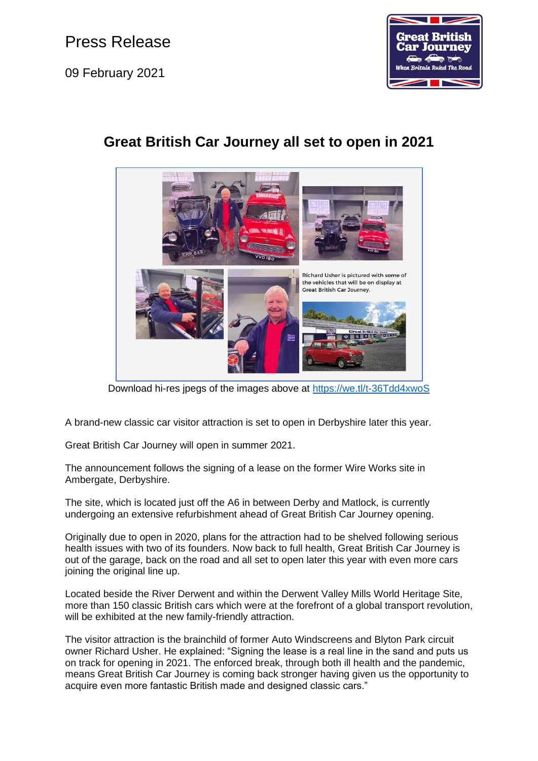Press Release

09 February 2021



## **Great British Car Journey all set to open in 2021**



Download hi-res jpegs of the images above at<https://we.tl/t-36Tdd4xwoS>

A brand-new classic car visitor attraction is set to open in Derbyshire later this year.

Great British Car Journey will open in summer 2021.

The announcement follows the signing of a lease on the former Wire Works site in Ambergate, Derbyshire.

The site, which is located just off the A6 in between Derby and Matlock, is currently undergoing an extensive refurbishment ahead of Great British Car Journey opening.

Originally due to open in 2020, plans for the attraction had to be shelved following serious health issues with two of its founders. Now back to full health, Great British Car Journey is out of the garage, back on the road and all set to open later this year with even more cars joining the original line up.

Located beside the River Derwent and within the Derwent Valley Mills World Heritage Site, more than 150 classic British cars which were at the forefront of a global transport revolution, will be exhibited at the new family-friendly attraction.

The visitor attraction is the brainchild of former Auto Windscreens and Blyton Park circuit owner Richard Usher. He explained: "Signing the lease is a real line in the sand and puts us on track for opening in 2021. The enforced break, through both ill health and the pandemic, means Great British Car Journey is coming back stronger having given us the opportunity to acquire even more fantastic British made and designed classic cars."